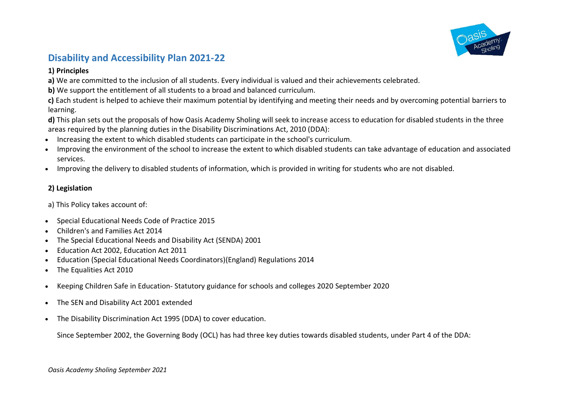

# **Disability and Accessibility Plan 2021-22**

## **1) Principles**

**a)** We are committed to the inclusion of all students. Every individual is valued and their achievements celebrated.

**b)** We support the entitlement of all students to a broad and balanced curriculum.

**c)** Each student is helped to achieve their maximum potential by identifying and meeting their needs and by overcoming potential barriers to learning.

**d)** This plan sets out the proposals of how Oasis Academy Sholing will seek to increase access to education for disabled students in the three areas required by the planning duties in the Disability Discriminations Act, 2010 (DDA):

- Increasing the extent to which disabled students can participate in the school's curriculum.
- Improving the environment of the school to increase the extent to which disabled students can take advantage of education and associated services.
- Improving the delivery to disabled students of information, which is provided in writing for students who are not disabled.

## **2) Legislation**

a) This Policy takes account of:

- Special Educational Needs Code of Practice 2015
- Children's and Families Act 2014
- The Special Educational Needs and Disability Act (SENDA) 2001
- Education Act 2002, Education Act 2011
- Education (Special Educational Needs Coordinators)(England) Regulations 2014
- The Equalities Act 2010
- Keeping Children Safe in Education- Statutory guidance for schools and colleges 2020 September 2020
- The SEN and Disability Act 2001 extended
- The Disability Discrimination Act 1995 (DDA) to cover education.

Since September 2002, the Governing Body (OCL) has had three key duties towards disabled students, under Part 4 of the DDA: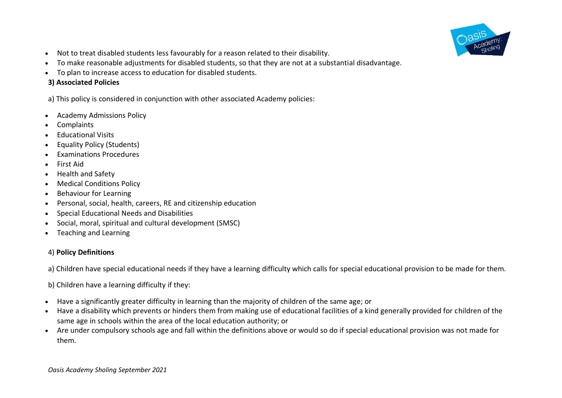

- Not to treat disabled students less favourably for a reason related to their disability.
- To make reasonable adjustments for disabled students, so that they are not at a substantial disadvantage.
- To plan to increase access to education for disabled students.

## **3) Associated Policies**

a) This policy is considered in conjunction with other associated Academy policies:

- Academy Admissions Policy
- **Complaints**
- Educational Visits
- Equality Policy (Students)
- Examinations Procedures
- First Aid
- Health and Safety
- Medical Conditions Policy
- Behaviour for Learning
- Personal, social, health, careers, RE and citizenship education
- Special Educational Needs and Disabilities
- Social, moral, spiritual and cultural development (SMSC)
- Teaching and Learning

## 4) **Policy Definitions**

a) Children have special educational needs if they have a learning difficulty which calls for special educational provision to be made for them.

b) Children have a learning difficulty if they:

- Have a significantly greater difficulty in learning than the majority of children of the same age; or
- Have a disability which prevents or hinders them from making use of educational facilities of a kind generally provided for children of the same age in schools within the area of the local education authority; or
- Are under compulsory schools age and fall within the definitions above or would so do if special educational provision was not made for them.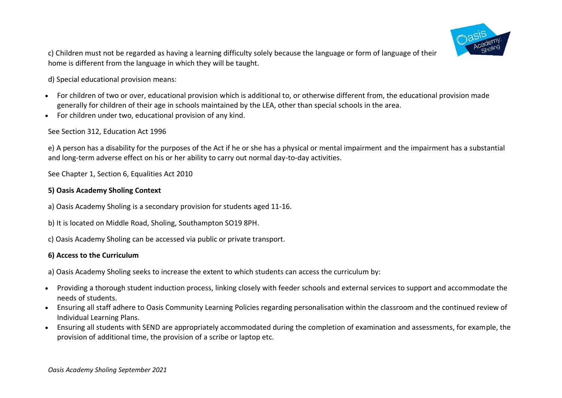

c) Children must not be regarded as having a learning difficulty solely because the language or form of language of their home is different from the language in which they will be taught.

d) Special educational provision means:

- For children of two or over, educational provision which is additional to, or otherwise different from, the educational provision made generally for children of their age in schools maintained by the LEA, other than special schools in the area.
- For children under two, educational provision of any kind.

#### See Section 312, Education Act 1996

e) A person has a disability for the purposes of the Act if he or she has a physical or mental impairment and the impairment has a substantial and long-term adverse effect on his or her ability to carry out normal day-to-day activities.

See Chapter 1, Section 6, Equalities Act 2010

#### **5) Oasis Academy Sholing Context**

- a) Oasis Academy Sholing is a secondary provision for students aged 11-16.
- b) It is located on Middle Road, Sholing, Southampton SO19 8PH.
- c) Oasis Academy Sholing can be accessed via public or private transport.

#### **6) Access to the Curriculum**

a) Oasis Academy Sholing seeks to increase the extent to which students can access the curriculum by:

- Providing a thorough student induction process, linking closely with feeder schools and external services to support and accommodate the needs of students.
- Ensuring all staff adhere to Oasis Community Learning Policies regarding personalisation within the classroom and the continued review of Individual Learning Plans.
- Ensuring all students with SEND are appropriately accommodated during the completion of examination and assessments, for example, the provision of additional time, the provision of a scribe or laptop etc.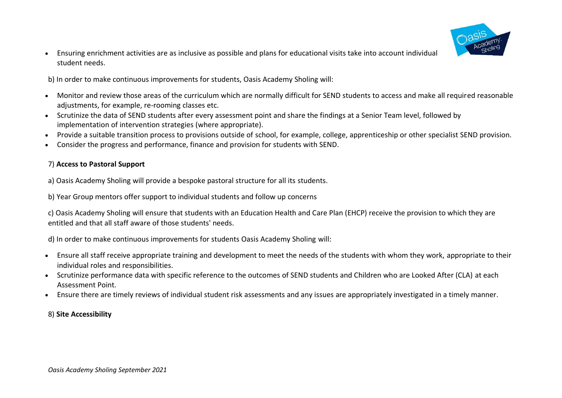

• Ensuring enrichment activities are as inclusive as possible and plans for educational visits take into account individual student needs.

b) In order to make continuous improvements for students, Oasis Academy Sholing will:

- Monitor and review those areas of the curriculum which are normally difficult for SEND students to access and make all required reasonable adjustments, for example, re-rooming classes etc.
- Scrutinize the data of SEND students after every assessment point and share the findings at a Senior Team level, followed by implementation of intervention strategies (where appropriate).
- Provide a suitable transition process to provisions outside of school, for example, college, apprenticeship or other specialist SEND provision.
- Consider the progress and performance, finance and provision for students with SEND.

## 7) **Access to Pastoral Support**

a) Oasis Academy Sholing will provide a bespoke pastoral structure for all its students.

b) Year Group mentors offer support to individual students and follow up concerns

c) Oasis Academy Sholing will ensure that students with an Education Health and Care Plan (EHCP) receive the provision to which they are entitled and that all staff aware of those students' needs.

d) In order to make continuous improvements for students Oasis Academy Sholing will:

- Ensure all staff receive appropriate training and development to meet the needs of the students with whom they work, appropriate to their individual roles and responsibilities.
- Scrutinize performance data with specific reference to the outcomes of SEND students and Children who are Looked After (CLA) at each Assessment Point.
- Ensure there are timely reviews of individual student risk assessments and any issues are appropriately investigated in a timely manner.

## 8) **Site Accessibility**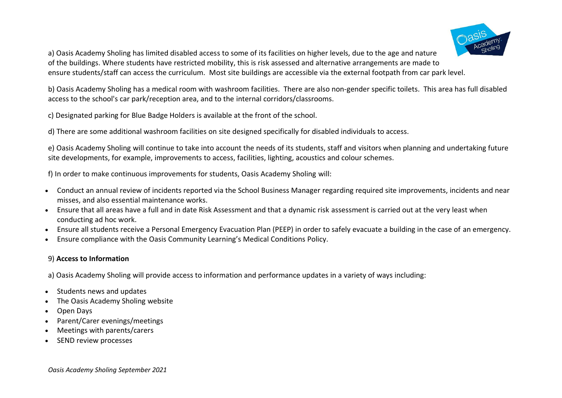

a) Oasis Academy Sholing has limited disabled access to some of its facilities on higher levels, due to the age and nature of the buildings. Where students have restricted mobility, this is risk assessed and alternative arrangements are made to ensure students/staff can access the curriculum. Most site buildings are accessible via the external footpath from car park level.

b) Oasis Academy Sholing has a medical room with washroom facilities. There are also non-gender specific toilets. This area has full disabled access to the school's car park/reception area, and to the internal corridors/classrooms.

c) Designated parking for Blue Badge Holders is available at the front of the school.

d) There are some additional washroom facilities on site designed specifically for disabled individuals to access.

e) Oasis Academy Sholing will continue to take into account the needs of its students, staff and visitors when planning and undertaking future site developments, for example, improvements to access, facilities, lighting, acoustics and colour schemes.

f) In order to make continuous improvements for students, Oasis Academy Sholing will:

- Conduct an annual review of incidents reported via the School Business Manager regarding required site improvements, incidents and near misses, and also essential maintenance works.
- Ensure that all areas have a full and in date Risk Assessment and that a dynamic risk assessment is carried out at the very least when conducting ad hoc work.
- Ensure all students receive a Personal Emergency Evacuation Plan (PEEP) in order to safely evacuate a building in the case of an emergency.
- Ensure compliance with the Oasis Community Learning's Medical Conditions Policy.

## 9) **Access to Information**

a) Oasis Academy Sholing will provide access to information and performance updates in a variety of ways including:

- Students news and updates
- The Oasis Academy Sholing website
- Open Days
- Parent/Carer evenings/meetings
- Meetings with parents/carers
- SEND review processes

*Oasis Academy Sholing September 2021*